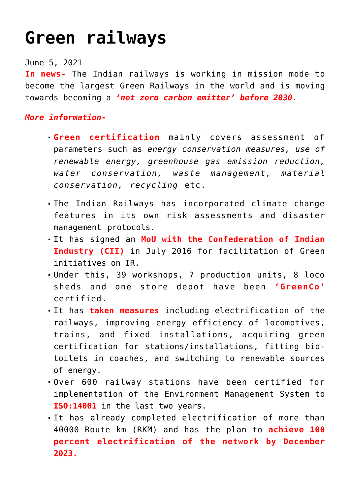## **[Green railways](https://journalsofindia.com/green-railways/)**

## June 5, 2021

**In news-** The Indian railways is working in mission mode to become the largest Green Railways in the world and is moving towards becoming a *'net zero carbon emitter' before 2030.*

## *More information-*

- **Green certification** mainly covers assessment of parameters such as *energy conservation measures, use of renewable energy, greenhouse gas emission reduction, water conservation, waste management, material conservation, recycling* etc.
- The Indian Railways has incorporated climate change features in its own risk assessments and disaster management protocols.
- It has signed an **MoU with the Confederation of Indian Industry (CII)** in July 2016 for facilitation of Green initiatives on IR.
- Under this, 39 workshops, 7 production units, 8 loco sheds and one store depot have been **'GreenCo'** certified.
- It has **taken measures** including electrification of the railways, improving energy efficiency of locomotives, trains, and fixed installations, acquiring green certification for stations/installations, fitting biotoilets in coaches, and switching to renewable sources of energy.
- Over 600 railway stations have been certified for implementation of the Environment Management System to **ISO:14001** in the last two years.
- It has already completed electrification of more than 40000 Route km (RKM) and has the plan to **achieve 100 percent electrification of the network by December 2023.**